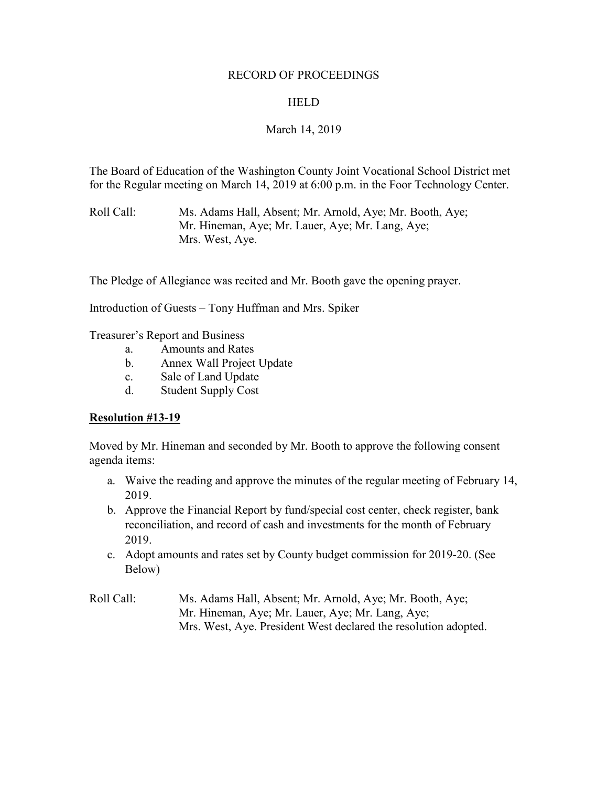#### RECORD OF PROCEEDINGS

## **HELD**

## March 14, 2019

The Board of Education of the Washington County Joint Vocational School District met for the Regular meeting on March 14, 2019 at 6:00 p.m. in the Foor Technology Center.

Roll Call: Ms. Adams Hall, Absent; Mr. Arnold, Aye; Mr. Booth, Aye; Mr. Hineman, Aye; Mr. Lauer, Aye; Mr. Lang, Aye; Mrs. West, Aye.

The Pledge of Allegiance was recited and Mr. Booth gave the opening prayer.

Introduction of Guests – Tony Huffman and Mrs. Spiker

Treasurer's Report and Business

- a. Amounts and Rates
- b. Annex Wall Project Update
- c. Sale of Land Update
- d. Student Supply Cost

## **Resolution #13-19**

Moved by Mr. Hineman and seconded by Mr. Booth to approve the following consent agenda items:

- a. Waive the reading and approve the minutes of the regular meeting of February 14, 2019.
- b. Approve the Financial Report by fund/special cost center, check register, bank reconciliation, and record of cash and investments for the month of February 2019.
- c. Adopt amounts and rates set by County budget commission for 2019-20. (See Below)
- Roll Call: Ms. Adams Hall, Absent; Mr. Arnold, Aye; Mr. Booth, Aye; Mr. Hineman, Aye; Mr. Lauer, Aye; Mr. Lang, Aye; Mrs. West, Aye. President West declared the resolution adopted.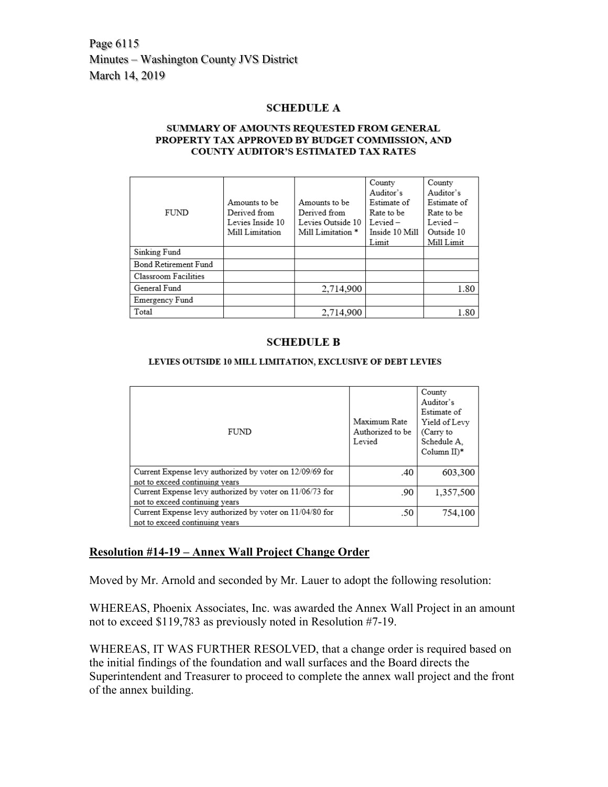Page 6115 Minutes – Washington County JVS District March 14, 2019

#### **SCHEDULE A**

#### SUMMARY OF AMOUNTS REQUESTED FROM GENERAL PROPERTY TAX APPROVED BY BUDGET COMMISSION, AND **COUNTY AUDITOR'S ESTIMATED TAX RATES**

|                      |                  |                              | County         | County      |
|----------------------|------------------|------------------------------|----------------|-------------|
|                      | Amounts to be    | Amounts to be                | Auditor's      | Auditor's   |
|                      |                  |                              | Estimate of    | Estimate of |
| <b>FUND</b>          | Derived from     | Derived from                 | Rate to be     | Rate to be  |
|                      | Levies Inside 10 | Levies Outside 10            | $Level-$       | $Lexied -$  |
|                      | Mill Limitation  | Mill Limitation <sup>*</sup> | Inside 10 Mill | Outside 10  |
|                      |                  |                              | Limit          | Mill Limit  |
| Sinking Fund         |                  |                              |                |             |
| Bond Retirement Fund |                  |                              |                |             |
| Classroom Facilities |                  |                              |                |             |
| General Fund         |                  | 2,714,900                    |                | 1.80        |
| Emergency Fund       |                  |                              |                |             |
| Total                |                  | 2,714,900                    |                | 1.80        |

#### **SCHEDULE B**

LEVIES OUTSIDE 10 MILL LIMITATION, EXCLUSIVE OF DEBT LEVIES

| FUND                                                     | Maximum Rate<br>Authorized to be<br>Levied | County<br>Auditor's<br>Estimate of<br>Yield of Levy<br>(Carry to<br>Schedule A.<br>Column $II$ <sup>*</sup> |
|----------------------------------------------------------|--------------------------------------------|-------------------------------------------------------------------------------------------------------------|
| Current Expense levy authorized by voter on 12/09/69 for | .40                                        | 603,300                                                                                                     |
| not to exceed continuing years                           |                                            |                                                                                                             |
| Current Expense levy authorized by voter on 11/06/73 for | .90                                        | 1,357,500                                                                                                   |
| not to exceed continuing years                           |                                            |                                                                                                             |
| Current Expense levy authorized by voter on 11/04/80 for | .50                                        | 754,100                                                                                                     |
| not to exceed continuing years                           |                                            |                                                                                                             |

## **Resolution #14-19 – Annex Wall Project Change Order**

Moved by Mr. Arnold and seconded by Mr. Lauer to adopt the following resolution:

WHEREAS, Phoenix Associates, Inc. was awarded the Annex Wall Project in an amount not to exceed \$119,783 as previously noted in Resolution #7-19.

WHEREAS, IT WAS FURTHER RESOLVED, that a change order is required based on the initial findings of the foundation and wall surfaces and the Board directs the Superintendent and Treasurer to proceed to complete the annex wall project and the front of the annex building.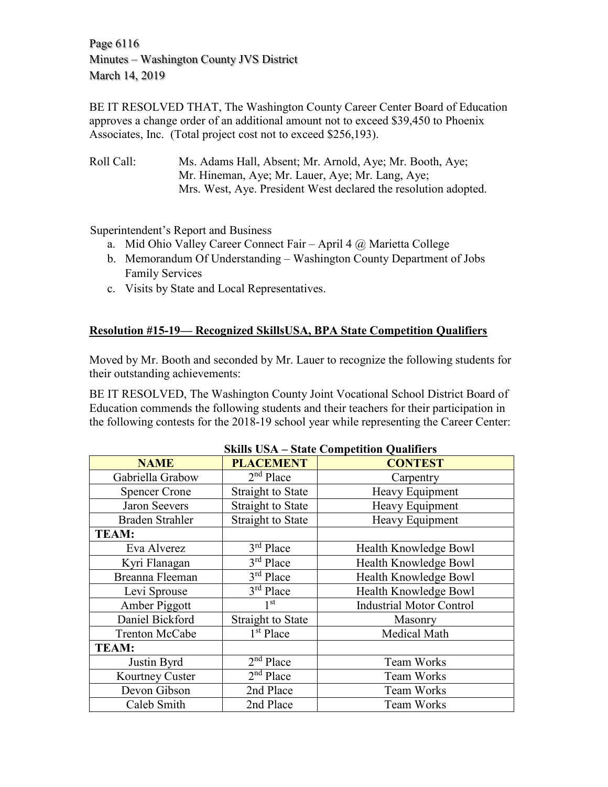Page 6116 Minutes – Washington County JVS District March 14, 2019

BE IT RESOLVED THAT, The Washington County Career Center Board of Education approves a change order of an additional amount not to exceed \$39,450 to Phoenix Associates, Inc. (Total project cost not to exceed \$256,193).

Roll Call: Ms. Adams Hall, Absent; Mr. Arnold, Aye; Mr. Booth, Aye; Mr. Hineman, Aye; Mr. Lauer, Aye; Mr. Lang, Aye; Mrs. West, Aye. President West declared the resolution adopted.

Superintendent's Report and Business

- a. Mid Ohio Valley Career Connect Fair April 4 @ Marietta College
- b. Memorandum Of Understanding Washington County Department of Jobs Family Services
- c. Visits by State and Local Representatives.

## **Resolution #15-19— Recognized SkillsUSA, BPA State Competition Qualifiers**

Moved by Mr. Booth and seconded by Mr. Lauer to recognize the following students for their outstanding achievements:

BE IT RESOLVED, The Washington County Joint Vocational School District Board of Education commends the following students and their teachers for their participation in the following contests for the 2018-19 school year while representing the Career Center:

| $\beta$ Kills $\beta$ is $A - \beta$ tate Competition Quantiers |                          |                                 |  |
|-----------------------------------------------------------------|--------------------------|---------------------------------|--|
| <b>NAME</b>                                                     | <b>PLACEMENT</b>         | <b>CONTEST</b>                  |  |
| Gabriella Grabow                                                | $2nd$ Place              | Carpentry                       |  |
| <b>Spencer Crone</b>                                            | <b>Straight to State</b> | Heavy Equipment                 |  |
| <b>Jaron Seevers</b>                                            | <b>Straight to State</b> | Heavy Equipment                 |  |
| <b>Braden Strahler</b>                                          | <b>Straight to State</b> | Heavy Equipment                 |  |
| <b>TEAM:</b>                                                    |                          |                                 |  |
| Eva Alverez                                                     | 3rd Place                | Health Knowledge Bowl           |  |
| Kyri Flanagan                                                   | $3rd$ Place              | Health Knowledge Bowl           |  |
| Breanna Fleeman                                                 | 3rd Place                | Health Knowledge Bowl           |  |
| Levi Sprouse                                                    | 3rd Place                | Health Knowledge Bowl           |  |
| Amber Piggott                                                   | 1 <sup>st</sup>          | <b>Industrial Motor Control</b> |  |
| Daniel Bickford                                                 | <b>Straight to State</b> | Masonry                         |  |
| <b>Trenton McCabe</b>                                           | 1 <sup>st</sup> Place    | Medical Math                    |  |
| <b>TEAM:</b>                                                    |                          |                                 |  |
| Justin Byrd                                                     | $2nd$ Place              | Team Works                      |  |
| Kourtney Custer                                                 | $2nd$ Place              | <b>Team Works</b>               |  |
| Devon Gibson                                                    | 2nd Place                | <b>Team Works</b>               |  |
| Caleb Smith                                                     | 2nd Place                | Team Works                      |  |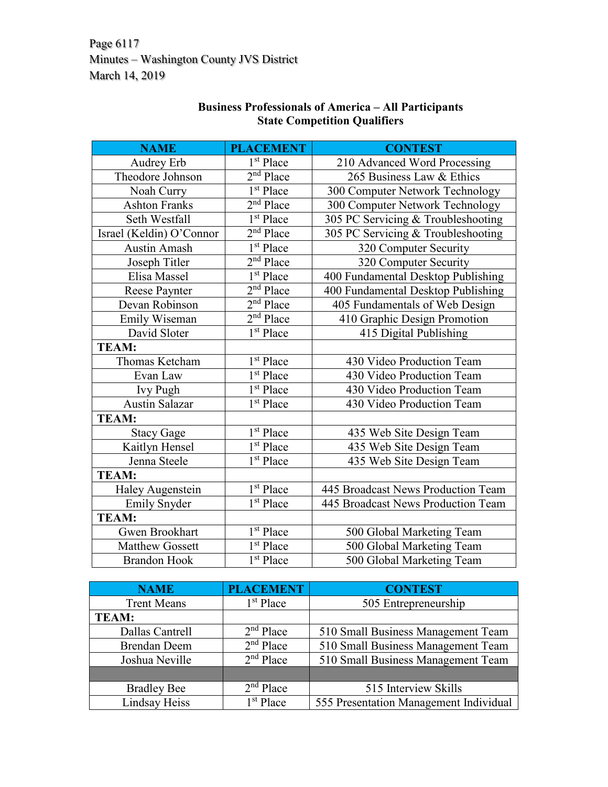Page 6117 Minutes – Washington County JVS District March 14, 2019

| <b>NAME</b>              | <b>PLACEMENT</b>      | <b>CONTEST</b>                     |  |
|--------------------------|-----------------------|------------------------------------|--|
| Audrey Erb               | 1 <sup>st</sup> Place | 210 Advanced Word Processing       |  |
| Theodore Johnson         | $2nd$ Place           | 265 Business Law & Ethics          |  |
| Noah Curry               | 1 <sup>st</sup> Place | 300 Computer Network Technology    |  |
| <b>Ashton Franks</b>     | $2nd$ Place           | 300 Computer Network Technology    |  |
| Seth Westfall            | 1 <sup>st</sup> Place | 305 PC Servicing & Troubleshooting |  |
| Israel (Keldin) O'Connor | $2nd$ Place           | 305 PC Servicing & Troubleshooting |  |
| <b>Austin Amash</b>      | 1 <sup>st</sup> Place | 320 Computer Security              |  |
| Joseph Titler            | $2nd$ Place           | 320 Computer Security              |  |
| Elisa Massel             | 1 <sup>st</sup> Place | 400 Fundamental Desktop Publishing |  |
| Reese Paynter            | $2nd$ Place           | 400 Fundamental Desktop Publishing |  |
| Devan Robinson           | $2nd$ Place           | 405 Fundamentals of Web Design     |  |
| Emily Wiseman            | $2nd$ Place           | 410 Graphic Design Promotion       |  |
| David Sloter             | $1st$ Place           | 415 Digital Publishing             |  |
| <b>TEAM:</b>             |                       |                                    |  |
| Thomas Ketcham           | 1 <sup>st</sup> Place | 430 Video Production Team          |  |
| Evan Law                 | 1 <sup>st</sup> Place | 430 Video Production Team          |  |
| <b>Ivy Pugh</b>          | 1 <sup>st</sup> Place | 430 Video Production Team          |  |
| <b>Austin Salazar</b>    | 1 <sup>st</sup> Place | 430 Video Production Team          |  |
| <b>TEAM:</b>             |                       |                                    |  |
| <b>Stacy Gage</b>        | 1 <sup>st</sup> Place | 435 Web Site Design Team           |  |
| Kaitlyn Hensel           | $1st$ Place           | 435 Web Site Design Team           |  |
| Jenna Steele             | 1 <sup>st</sup> Place | 435 Web Site Design Team           |  |
| <b>TEAM:</b>             |                       |                                    |  |
| Haley Augenstein         | 1 <sup>st</sup> Place | 445 Broadcast News Production Team |  |
| <b>Emily Snyder</b>      | 1 <sup>st</sup> Place | 445 Broadcast News Production Team |  |
| <b>TEAM:</b>             |                       |                                    |  |
| <b>Gwen Brookhart</b>    | 1 <sup>st</sup> Place | 500 Global Marketing Team          |  |
| <b>Matthew Gossett</b>   | 1 <sup>st</sup> Place | 500 Global Marketing Team          |  |
| <b>Brandon Hook</b>      | 1 <sup>st</sup> Place | 500 Global Marketing Team          |  |

## **Business Professionals of America – All Participants State Competition Qualifiers**

| <b>NAME</b>         | <b>PLACEMENT</b> | <b>CONTEST</b>                         |
|---------------------|------------------|----------------------------------------|
| <b>Trent Means</b>  | $1st$ Place      | 505 Entrepreneurship                   |
| <b>TEAM:</b>        |                  |                                        |
| Dallas Cantrell     | $2nd$ Place      | 510 Small Business Management Team     |
| <b>Brendan Deem</b> | $2nd$ Place      | 510 Small Business Management Team     |
| Joshua Neville      | $2nd$ Place      | 510 Small Business Management Team     |
|                     |                  |                                        |
| <b>Bradley Bee</b>  | $2nd$ Place      | 515 Interview Skills                   |
| Lindsay Heiss       | $1st$ Place      | 555 Presentation Management Individual |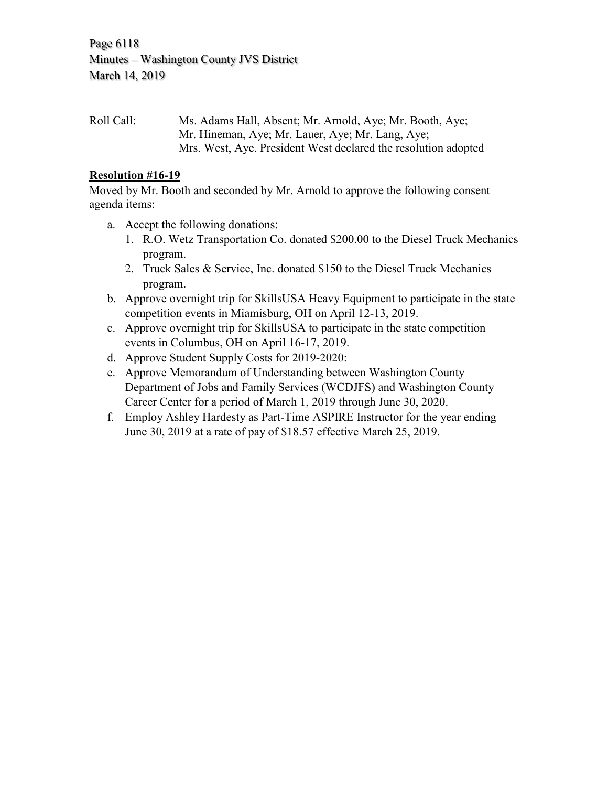Page 6118 Minutes – Washington County JVS District March 14, 2019

Roll Call: Ms. Adams Hall, Absent; Mr. Arnold, Aye; Mr. Booth, Aye; Mr. Hineman, Aye; Mr. Lauer, Aye; Mr. Lang, Aye; Mrs. West, Aye. President West declared the resolution adopted

## **Resolution #16-19**

Moved by Mr. Booth and seconded by Mr. Arnold to approve the following consent agenda items:

- a. Accept the following donations:
	- 1. R.O. Wetz Transportation Co. donated \$200.00 to the Diesel Truck Mechanics program.
	- 2. Truck Sales & Service, Inc. donated \$150 to the Diesel Truck Mechanics program.
- b. Approve overnight trip for SkillsUSA Heavy Equipment to participate in the state competition events in Miamisburg, OH on April 12-13, 2019.
- c. Approve overnight trip for SkillsUSA to participate in the state competition events in Columbus, OH on April 16-17, 2019.
- d. Approve Student Supply Costs for 2019-2020:
- e. Approve Memorandum of Understanding between Washington County Department of Jobs and Family Services (WCDJFS) and Washington County Career Center for a period of March 1, 2019 through June 30, 2020.
- f. Employ Ashley Hardesty as Part-Time ASPIRE Instructor for the year ending June 30, 2019 at a rate of pay of \$18.57 effective March 25, 2019.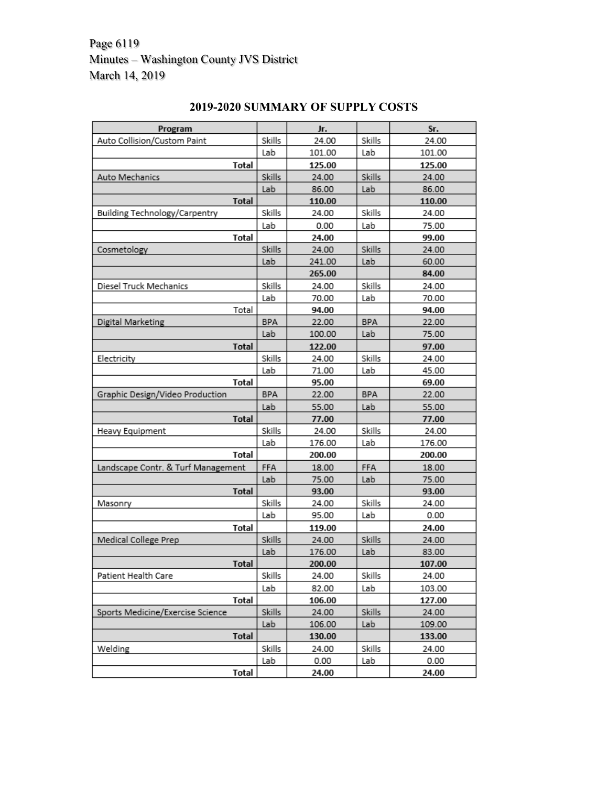# Page 6119 Minutes – Washington County JVS District March 14, 2019

| Program                            |            | Jr.    |            | Sr.    |
|------------------------------------|------------|--------|------------|--------|
| Auto Collision/Custom Paint        | Skills     | 24.00  | Skills     | 24.00  |
|                                    | Lab        | 101.00 | Lab        | 101.00 |
| <b>Total</b>                       |            | 125.00 |            | 125.00 |
| Auto Mechanics                     | Skills     | 24.00  | Skills     | 24.00  |
|                                    | Lab        | 86.00  | Lab        | 86.00  |
| <b>Total</b>                       |            | 110.00 |            | 110.00 |
| Building Technology/Carpentry      | Skills     | 24.00  | Skills     | 24.00  |
|                                    | Lab        | 0.00   | Lab        | 75.00  |
| Total                              |            | 24.00  |            | 99.00  |
| Cosmetology                        | Skills     | 24.00  | Skills     | 24.00  |
|                                    | Lab        | 241.00 | Lab        | 60.00  |
|                                    |            | 265.00 |            | 84.00  |
| Diesel Truck Mechanics             | Skills     | 24.00  | Skills     | 24.00  |
|                                    | Lab        | 70.00  | Lab        | 70.00  |
| Total                              |            | 94.00  |            | 94.00  |
| Digital Marketing                  | <b>BPA</b> | 22.00  | <b>BPA</b> | 22.00  |
|                                    | Lab        | 100.00 | Lab        | 75.00  |
| <b>Total</b>                       |            | 122.00 |            | 97.00  |
| Electricity                        | Skills     | 24.00  | Skills     | 24.00  |
|                                    | Lab        | 71.00  | Lab        | 45.00  |
| Total                              |            | 95.00  |            | 69.00  |
| Graphic Design/Video Production    | BPA        | 22.00  | <b>BPA</b> | 22.00  |
|                                    | Lab        | 55.00  | Lab        | 55.00  |
| Total                              |            | 77.00  |            | 77.00  |
| Heavy Equipment                    | Skills     | 24.00  | Skills     | 24.00  |
|                                    | Lab        | 176.00 | Lab        | 176.00 |
| Total                              |            | 200.00 |            | 200.00 |
| Landscape Contr. & Turf Management | FFA        | 18.00  | FFA        | 18.00  |
|                                    | Lab        | 75.00  | Lab        | 75.00  |
| <b>Total</b>                       |            | 93.00  |            | 93.00  |
| Masonry                            | Skills     | 24.00  | Skills     | 24.00  |
|                                    | Lab        | 95.00  | Lab        | 0.00   |
| Total                              |            | 119.00 |            | 24.00  |
| Medical College Prep               | Skills     | 24.00  | Skills     | 24.00  |
|                                    | Lab        | 176.00 | Lab        | 83.00  |
| <b>Total</b>                       |            | 200.00 |            | 107.00 |
| Patient Health Care                | Skills     | 24.00  | Skills     | 24.00  |
|                                    | Lab        | 82.00  | Lab        | 103.00 |
| <b>Total</b>                       |            | 106.00 |            | 127.00 |
| Sports Medicine/Exercise Science   | Skills     | 24.00  | Skills     | 24.00  |
|                                    | Lab        | 106.00 | Lab        | 109.00 |
| <b>Total</b>                       |            | 130.00 |            | 133.00 |
| Welding                            | Skills     | 24.00  | Skills     | 24.00  |
|                                    | Lab        | 0.00   | Lab        | 0.00   |
| <b>Total</b>                       |            | 24.00  |            | 24.00  |

# **2019-2020 SUMMARY OF SUPPLY COSTS**